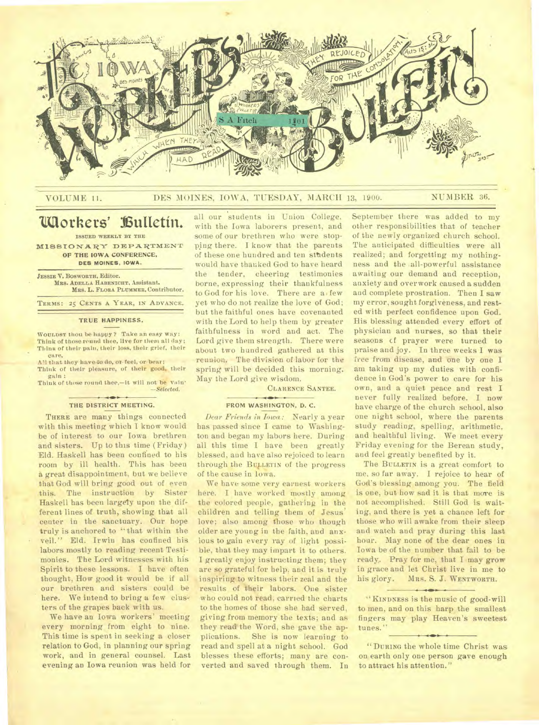

# VOLUME 11. DES MOINES, IOWA, TUESDAY, MARCH 13, 1900. NUMBER 36.

# **Workers' 16uitetin.**

**ISSUED WEEKLY BY THE** 

MISSIONARY DEPARTMENT OF THE IOWA CONFERENCE, **DES MOINES. IOWA.** 

**JESSIE V. BOSWORTH,** Editor. **MRs. ADELLA HABENICHT,** Assistant. MRS. L. **FLORA PLUMMER,** Contributor.

**TERMS: 25 CENTS A YEAR, IN ADVANCE.** 

# TRUE HAPPINESS.

**WOULDST** thou be happy ? Take an easy way: Think of those round thee, live for them all day; Think of their pain, their loss, their grief, their care,

All that they have to do, or feel, or bear; Think of their pleasure, of their good, their  $g$ <sub>il</sub> $n$ :

Think of those round thee,—it will not be vain' *—Selected.* 

# THE DISTRICT MEETING.

THERE are many things connected with this meeting which I know would be of interest to our Iowa brethren and sisters. Up to this time (Friday) Eld. Haskell has been confined to his room by ill health. This has been a great disappointment, but we believe that God will bring good out of even this. The instruction by Sister Haskell has been largely upon the different lines of truth, showing that all center in the sanctuary. Our hope truly is anchored to "that within the veil." Eld. Irwin has confined his labors mostly to reading recent Testimonies. The Lord witnesses with his Spirit to these lessons. I have often thought, How good it would be if all our brethren and sisters could be here. We intend to bring a few clusters of the grapes back with us.

We have an Iowa workers' meeting every morning from eight to nine. This time is spent in seeking a closer relation to God, in planning our spring work, and in general counsel. Last evening an Iowa reunion was held for

all our students in Union College, with the Iowa laborers present, and some of our brethren who were stopping there. I know that the parents of these one hundred and ten sttidents would have thanked God to have heard the tender, cheering testimonies borne, expressing their thankfulness to God for his love. There are a, few yet who do not realize the love of God; but the faithful ones have covenanted with the Lord to help them by greater faithfulness in word and act. The Lord give them strength. There were about two hundred gathered at this reunion. The division of labor for the spring will be decided this morning. May the Lord give wisdom.

CLARENCE SANTEE.

# FROM WASHINGTON, D. C.

*Dear Friends in Iowa:* Nearly a year has passed since I came to Washington and began my labors here. During all this time I have been greatly blessed, and have also rejoiced to learn through the BULLETIN of the progress of the cause in Iowa.

We have some very earnest workers here. I have worked mostly among the colored people, gathering in the children and telling them of Jesus' love; also among those who though older are young in the faith, and anxious to gain every ray of light possible, that they may impart it to others. I greatly enjoy instructing them; they are so grateful for help, and it is truly inspiring to witness their zeal and the results of their labors. One sister who could not read, carried the charts to the homes of those she had served, giving from memory the texts; and as they read the Word, she gave the applications. She is now learning to read and spell at a night school. God blesses these efforts; many are converted and saved through them. In

September there was added to my other responsibilities that of teacher of the newly organized church school. The anticipated difficulties were all realized; and forgetting my nothingness and the .all-powerful assistance awaiting our demand and reception, anxiety and overwork caused a sudden and complete prostration. Then I saw my error, sought forgiveness, and rested with perfect confidence upon God. His blessing attended every effort of physician and nurses, so that their seasons cf prayer were turned to praise and joy. In three weeks I was free from disease, and one by one I am taking up my duties with confidence in God's power to care for his own, and a quiet peace and rest I never fully realized before. I now have charge of the church school, also one night school, where the parents study reading, spelling, arithmetic, and healthful living. We meet every Friday evening for the Berean study, and feel greatly benefited by it.

The BULLETIN is a great comfort to me, so far away. I rejoice to hear of God's blessing among you. The field is one, but how sad it is that more is not accomplished. Still God is waiting, and there is yet a chance left for those who will awake from their sleep and watch and pray during this last hour. May none of the dear ones in Iowa be of the number that fail to be ready.. Pray for me, that I may grow in grace and let Christ live in me to his glory. MRS. S. J. WENTWORTH.

"KINDNESS is the music of good-will to men, and on this harp the smallest fingers may play Heaven's sweetest. tunes."

 $+ 10 + 1$ 

"DURING the whole time Christ was on earth only one person gave enough to attract his attention."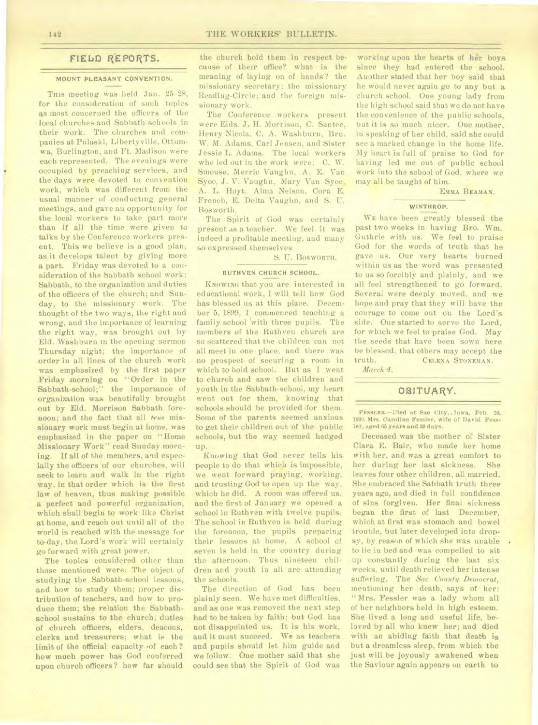# **FIELD REPORTS.**

# **MOUNT PLEASANT CONVENTION.**

**THIS** meeting was held Jan. 25-28, for the consideration of such topics as most concerned the officers of the local churches and Sabbath-schools in their work. The churches and companies at Pulaski, Libertyville, Ottumwa, Burlington, and Ft. Madison were each represented. The evenings were occupied by preaching services, and the days were devoted to convention work, which was different from the usual manner of conducting general meetings, and gave an opportunity for the local workers to take part more than if all the time were given to talks by the Conference workers present. This we believe is a good plan, as it develops talent by giving more a part. Friday was devoted to a consideration of the Sabbath school work; Sabbath, to the organization and duties of the officers of the church; and Sunday, to the missionary work. The thought of the two ways, the right and wrong, and the importance of learning the right way, was brought out by Eld. Washburn in the opening sermon Thursday night; the importance of order in all lines of the church work was emphasized by the first paper Friday morning on "Order in the Sabbath-school;" the importance of organization was beautifully brought out by Eld. Morrison Sabbath forenoon; and the fact that *all true* missionary work must begin at home, was emphasized in the paper on "Home Missionary Work" read Sunday morning. If all of the members, and especially the officers of our churches, will seek to learn and walk in the right way, in that order which is the first law of heaven, thus making possible a perfect and powerful organization, which shall begin to work like Christ at home, and reach out until all of the world is reached with the message for to-day, the Lord's work will certainly go forward with great power.

The topics considered other than those mentioned were: The object of studying the Sabbath-school lessons, and how to study them; proper distribution of teachers, and how to produce them; the relation the Sabbathschool sustains to the church; duties of church officers, elders, deacons, clerks and treasurers; what is the limit of the official capacity .of each ? how much power has God conferred upon church officers? how far should

the church hold them in respect because of their office? what is the meaning of laying on of hands ? the missionary secretary; the missionary Reading-Circle; and the foreign missionary work.

The Conference workers present were Elds. J. H. Morrison, C. Santee, Henry Nicola, C. A. Washburn, Brn. W. M. Adams, Carl Jensen, and Sister Jessie L. Adams. The local workers who led out in the work were: C. W. Smouse, Merric Vaughn, A. E. Van Syoc, J. V. Vaughn, Mary Van Syoc, A. L. Hoyt. Alma Nelson, Cora E. French, E. Delta Vaughn, and S. U. Bosworth.

The Spirit of God was certainly present as a teacher. We feel it was indeed a profitable meeting, and many so expressed themselves.

S. U. **BOSWORTH.** 

# **RUTHVEN CHURCH SCHOOL.**

**KNOWING** that you are interested in educational work, I will tell how God has blessed us at this place. December 5, 1899, I commenced teaching a family school with three pupils. The members of the Ruthven church are so scattered that the children can not all meet in one place, and there was no prospect of securing a room in which to hold school. But as I went to church and saw the children and youth in the Sabbath-school, my heart went out for them, knowing that schools should be provided for them. Some of the parents seemed anxious to get their children out of the public schools, but the way seemed hedged up.

Knowing that God never tells his people to do that which is impossible, we went forward praying, working, and trusting God to open up the way, which he did. A room was offered us, and the first of January we opened a school in Ruthven with twelve pupils. The school in Ruthven is held during the forenoon, the pupils preparing their lessons at home. A school of seven is held in the country during the afternoon. Thus nineteen children and youth in all are attending the schools.

The direction of God has been plainly seen. We have met difficulties, and as one was removed the next step had to be taken by faith; but God has not disappointed us. It is his work, and it must succeed. We as teachers and pupils should let him guide and we follow. One mother said that she could see that the Spirit of God was

working upon the hearts of her boys since they had entered the school. Another stated that her boy said that he would never again go to any but a church school. One young lady from the high school said that we do not have the convenience of the public schools, but it is so much nicer. One mother, in speaking of her child, said she could see a marked change in the home life. My heart is full of praise to God for having led me out of public school work into the school of God, where we may all be taught of him.

**EMMA BEAMAN.** 

### **WINTHROP.**

**WE** have been greatly blessed the past two weeks in having Bro. Wm. Guthrie with us. We feel to praise God for the words of truth that he gave us. Our very hearts burned within us as the word was presented to us so forcibly and plainly, and we all feel strengthened to go forward. Several were deeply moved, and we hope and pray that they will have the courage to come out on the Lord's side. One started to serve the Lord, for which we feel to praise God. May the seeds that have been sown here be blessed, that others may accept the truth. **CELENA STONEMAN.** 

*Ma reit 4.* 

# OBITUARY.

FESSLER.-Died at Sac City. Iowa, Feb. 20. 1900. Mrs. Caroline Fessler, wife of David Fess**ler, aged 65 years and 30 days.** 

Deceased was the mother of Sister Clara E. Bair, who made her home with her, and was a great comfort to her during her last sickness. She leaves four other children, all married. She embraced the Sabbath truth three years ago, and died in full confidence of sins forgiven. Her final sickness began the first of last December, which at first was stomach and bowel trouble, but later developed into dropsy, by reason of which she was unable to lie in bed and was compelled to sit up constantly during the last six weeks, until death relieved her intense suffering. The *Sac County Democrat,*  mentioning her death, says of her: "Mrs. Fessler was a lady whom all of her neighbors held in high esteem. She lived a long and useful life, beloved by all who knew her; and died with an abiding faith that death is but a dreamless sleep, from which the just will be joyously awakened when the Saviour again appears on earth to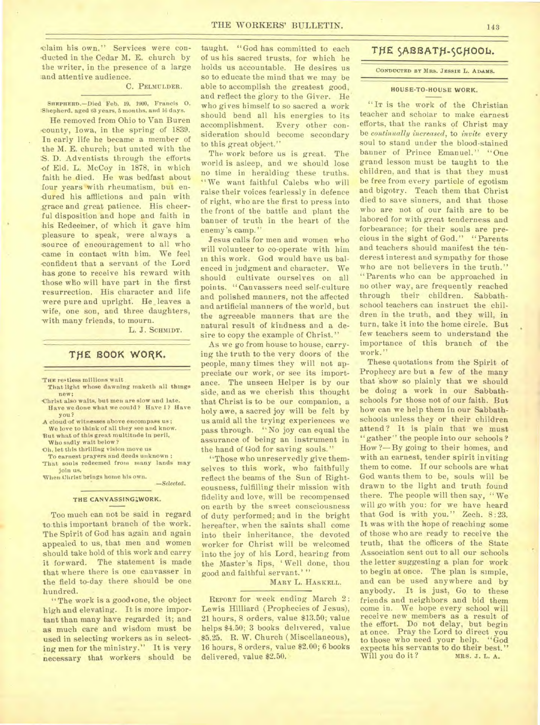claim his own." Services were conducted in the Cedar M. E. church by the writer, in the presence of a large and attentive audience.

#### C. PELMULDER.

**SFIRPRERD.—Died** Feb. 19, IWO, Francis 0. :Shepherd. aged 63 years, 5 months. and 16 days.

He removed from Ohio to Van Buren -county, Iowa, in the spring of 1839. In early life he became a member of the M. E. church; but united with the S. D. Adventists through the efforts of Eld. L. McCoy in 1878, in which faith he died. He was bedfast about four years with rheumatism, but endured his afflictions and pain with grace and great patience. His cheerful disposition and hope and faith in his Redeeiner, of which it gave him pleasure to speak, were always a source of encouragement to all who came in contact with him. We feel confident that a servant of the Lord has gone to receive his reward with those who will have part in the first resurrection. His character and life were pure and upright. He leaves a wife, one son, and three daughters, with many friends, to mourn.

L. J. SCHMIDT.

# THE BOOK WORK.

**THE** re%tiess millions wait

- That light whose dawning maketh all things new;
- Christ also waits, but men are slow and late. Have we done what we could? Have I? Have you?
- A cloud-of witnesses above encompass us ; We love to think of all they see and know.
- But what of this great multitude in peril, Who sadly wait below?
- .0h. let this thrilling vision move us
- To earnest prayers and deeds unknown ; That souls redeemed from many lands may Join us,

When Christ brings home his own. *—Selected.* 

#### THE CANVASSING; WORK.

Too much can not be said in regard to this important branch of the work. The Spirit of God has again and again appealed to us, that men and women should take hold of this work and carry it forward. The statement is made that where there is one canvasser in the field to-day there should be one hundred.

"The work is a good one, the object high and elevating. It is more important than many have regarded it; and as much care and wisdom must be used in selecting workers as in selecting men for the ministry." It is very necessary that workers should be taught. "God has committed to each of us his sacred trusts, for which he holds us accountable. He desires us so to educate the mind that we may be able to accomplish the greatest good, and reflect the glory to the Giver. He. who gives himself to so sacred a work should bend all his energies to its accomplishment. Every other consideration should become secondary to this great object."

The work before us is great. The world is asleep, and we should lose no time in heralding these truths. "We want faithful Calebs who will raise their voices fearlessly in defence of right, who are the first to press into the front of the battle and plant the banner of truth in the heart of the enemy's camp."

Jesus calls for men and women who will volunteer to co-operate with him in this work. God would have us balenced in judgment and character. We should cultivate ourselves on all points. "Canvassers need self-culture and polished manners, not the affected and artificial manners of the world, but the agreeable manners that are the natural result of kindness and a desire to copy the example of Christ."

As we go from house to house, carrying the truth to the very doors of the people, many times they will not appreciate our work, or see its importance. The unseen Helper is by our side, and as we cherish this thought that Christ is to be our companion, a holy awe, a sacred joy will be felt by us amid all the trying experiences we pass through. "No joy can equal the assurance of being an instrument in the hand of God for saving souls."

"Those who unreservedly give themselves to this work, who faithfully reflect the beams of the Sun of Righteousness, fulfilling their mission with fidelity and love, will be recompensed on earth by the sweet consciousness of duty performed; and in the bright hereafter, when the saints shall come into their inheritance, the devoted worker for Christ will be welcomed into the joy of his Lord, hearing from the Master's lips, ' Well done, thou good and faithful servant.'"

MARY L. HASKELL.

REPORT for week ending March 2: Lewis Hilliard (Prophecies of Jesus), 21 hours, 8 orders, value \$13.50; value helps \$4.50; 3 books delivered, value .\$5.25. R. W. Church ( Miscellaneous), 16 hours, 8 orders, value \$2.00; 6 books delivered, value \$2.50.

# THE SABBATH-SCHOOL.

### CONDUCTED BY MRS. JESSIE L. ADAMS.

#### HOUSE-TO-HOUSE WORK.

"IT is the work of the Christian teacher and scholar to make earnest efforts, that the ranks of Christ may be *continually increased,* **to** *invite* every soul to stand under the blood-stained banner of Prince Emanuel." "One grand lesson must be taught to the children, and that is that they must be free from every particle of egotism and bigotry. Teach them that Christ died to save sinners, and that those who are not of our faith are to be labored for with great tenderness and forbearance; for their souls are precious in the sight of God." "Parents and teachers should manifest the tenderest interest and sympathy for those who are not believers in the truth." "Parents who can be approached in no other way, are frequently reached through their children. Sabbathschool teachers can instruct the children in the truth, and they will, in turn, take it into the home circle. But few teachers seem to understand the importance of this branch of the work."

These quotations from the Spirit of Prophecy are but a few of the many that 'show so plainly that we should be doing a work in our Sabbathschools for those not of our faith. But how can we help them in our Sabbathschools unless they or their children attend? It is plain that we must "gather" the people into our schools? How ?— By going to their homes, and with an earnest, tender spirit inviting them to come. If our schools are what God wants them to be, souls will be drawn to the light and truth found there. The people will then say, "We will go with you: for we have heard that God is with you." Zech. 8:23. It was with the hope of reaching some of those who are ready to receive the truth, that the officers of the State Association sent out to all our schools the letter suggesting a plan for work to begin at once. The plan is simple, and can be used anywhere and by anybody. It is just, Go to these friends and neighbors and bid them come in. We hope every school will receive new members as a result of the effort. Do not delay, but begin at once. Pray the Lord to direct you to those who need your help. "God expects his servants to do their best." Will you do it?